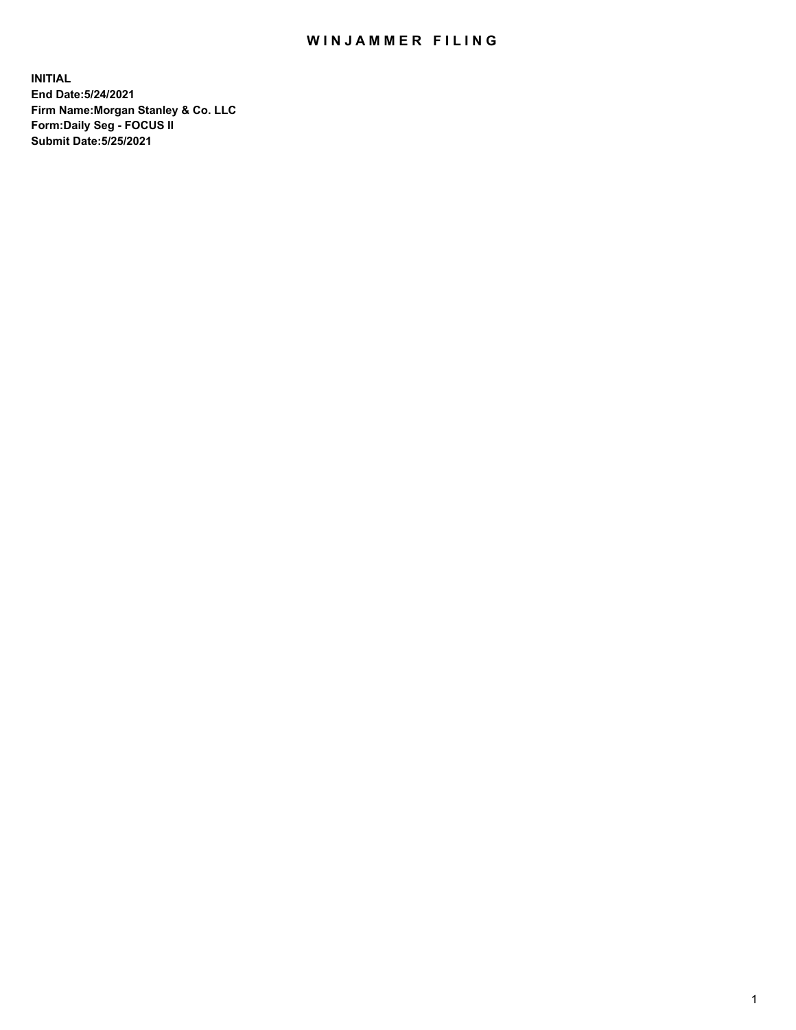## WIN JAMMER FILING

**INITIAL End Date:5/24/2021 Firm Name:Morgan Stanley & Co. LLC Form:Daily Seg - FOCUS II Submit Date:5/25/2021**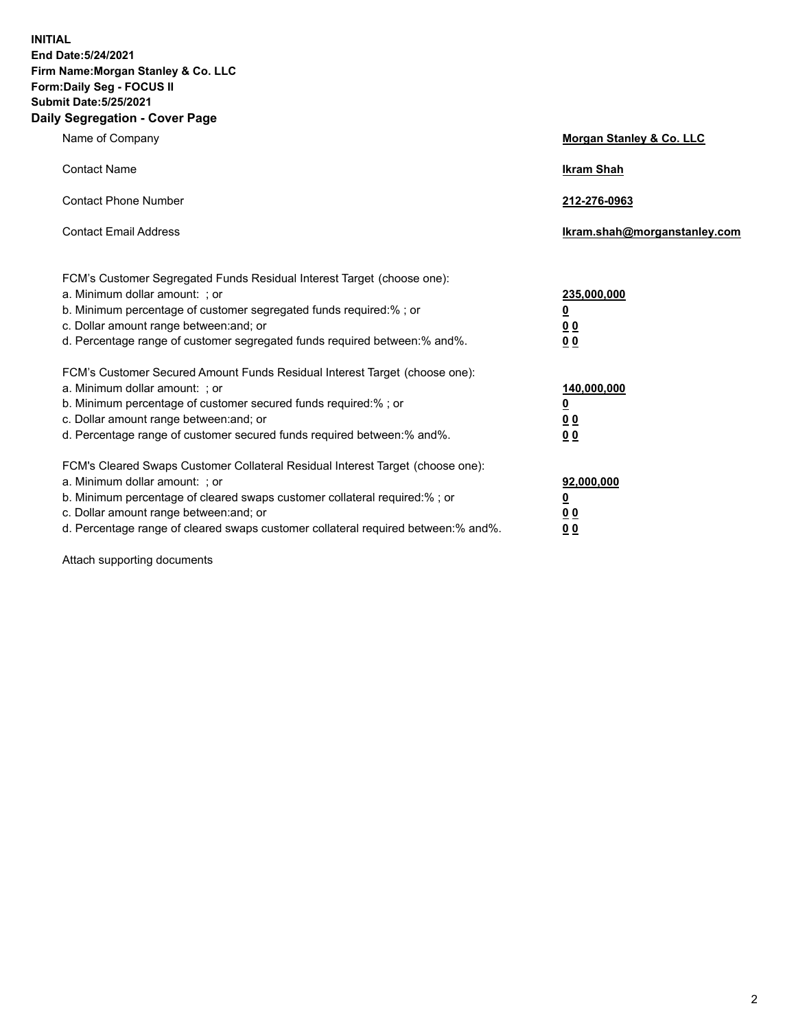**INITIAL End Date:5/24/2021 Firm Name:Morgan Stanley & Co. LLC Form:Daily Seg - FOCUS II Submit Date:5/25/2021 Daily Segregation - Cover Page**

| Name of Company                                                                                                                                                                                                                                                                                                                | Morgan Stanley & Co. LLC                                |
|--------------------------------------------------------------------------------------------------------------------------------------------------------------------------------------------------------------------------------------------------------------------------------------------------------------------------------|---------------------------------------------------------|
| <b>Contact Name</b>                                                                                                                                                                                                                                                                                                            | <b>Ikram Shah</b>                                       |
| <b>Contact Phone Number</b>                                                                                                                                                                                                                                                                                                    | 212-276-0963                                            |
| <b>Contact Email Address</b>                                                                                                                                                                                                                                                                                                   | Ikram.shah@morganstanley.com                            |
| FCM's Customer Segregated Funds Residual Interest Target (choose one):<br>a. Minimum dollar amount: ; or<br>b. Minimum percentage of customer segregated funds required:% ; or<br>c. Dollar amount range between: and; or<br>d. Percentage range of customer segregated funds required between: % and %.                       | 235,000,000<br><u>0</u><br><u>00</u><br><u>00</u>       |
| FCM's Customer Secured Amount Funds Residual Interest Target (choose one):<br>a. Minimum dollar amount: ; or<br>b. Minimum percentage of customer secured funds required:% ; or<br>c. Dollar amount range between: and; or<br>d. Percentage range of customer secured funds required between:% and%.                           | 140,000,000<br><u>0</u><br><u>0 0</u><br>0 <sub>0</sub> |
| FCM's Cleared Swaps Customer Collateral Residual Interest Target (choose one):<br>a. Minimum dollar amount: ; or<br>b. Minimum percentage of cleared swaps customer collateral required:% ; or<br>c. Dollar amount range between: and; or<br>d. Percentage range of cleared swaps customer collateral required between:% and%. | 92,000,000<br><u>0</u><br><u>00</u><br>00               |

Attach supporting documents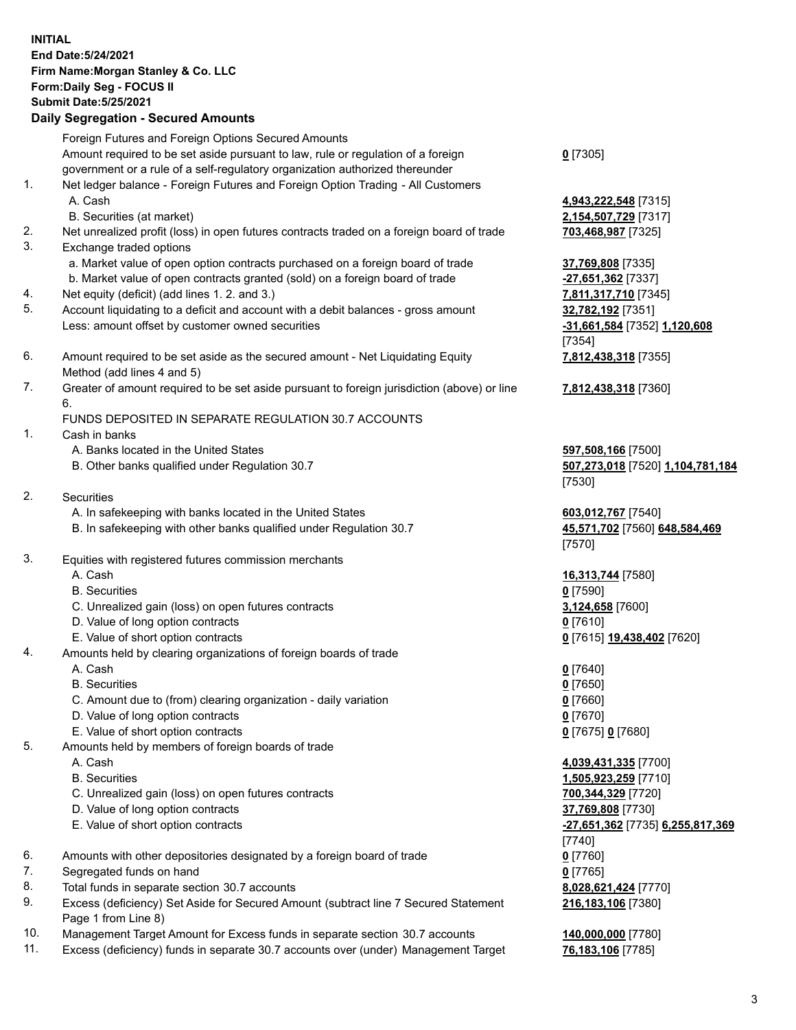## **INITIAL End Date:5/24/2021 Firm Name:Morgan Stanley & Co. LLC Form:Daily Seg - FOCUS II Submit Date:5/25/2021**

## **Daily Segregation - Secured Amounts**

Foreign Futures and Foreign Options Secured Amounts Amount required to be set aside pursuant to law, rule or regulation of a foreign government or a rule of a self-regulatory organization authorized thereunder 1. Net ledger balance - Foreign Futures and Foreign Option Trading - All Customers A. Cash **4,943,222,548** [7315] B. Securities (at market) **2,154,507,729** [7317] 2. Net unrealized profit (loss) in open futures contracts traded on a foreign board of trade **703,468,987** [7325] 3. Exchange traded options a. Market value of open option contracts purchased on a foreign board of trade **37,769,808** [7335] b. Market value of open contracts granted (sold) on a foreign board of trade **-27,651,362** [7337] 4. Net equity (deficit) (add lines 1. 2. and 3.) **7,811,317,710** [7345] 5. Account liquidating to a deficit and account with a debit balances - gross amount **32,782,192** [7351]

- Less: amount offset by customer owned securities **-31,661,584** [7352] **1,120,608**
- 6. Amount required to be set aside as the secured amount Net Liquidating Equity Method (add lines 4 and 5)
- 7. Greater of amount required to be set aside pursuant to foreign jurisdiction (above) or line 6.

## FUNDS DEPOSITED IN SEPARATE REGULATION 30.7 ACCOUNTS

- 1. Cash in banks
	- A. Banks located in the United States **597,508,166** [7500]
	- B. Other banks qualified under Regulation 30.7 **507,273,018** [7520] **1,104,781,184**
- 2. Securities
	- A. In safekeeping with banks located in the United States **603,012,767** [7540]
	- B. In safekeeping with other banks qualified under Regulation 30.7 **45,571,702** [7560] **648,584,469**
- 3. Equities with registered futures commission merchants
	-
	- B. Securities **0** [7590]
	- C. Unrealized gain (loss) on open futures contracts **3,124,658** [7600]
	- D. Value of long option contracts **0** [7610]
	- E. Value of short option contracts **0** [7615] **19,438,402** [7620]
- 4. Amounts held by clearing organizations of foreign boards of trade
	-
	- B. Securities **0** [7650]
	- C. Amount due to (from) clearing organization daily variation **0** [7660]
	- D. Value of long option contracts **0** [7670]
	- E. Value of short option contracts **0** [7675] **0** [7680]
- 5. Amounts held by members of foreign boards of trade
	-
	-
	- C. Unrealized gain (loss) on open futures contracts **700,344,329** [7720]
	- D. Value of long option contracts **37,769,808** [7730]
	- E. Value of short option contracts **-27,651,362** [7735] **6,255,817,369**
- 6. Amounts with other depositories designated by a foreign board of trade **0** [7760]
- 7. Segregated funds on hand **0** [7765]
- 8. Total funds in separate section 30.7 accounts **8,028,621,424** [7770]
- 9. Excess (deficiency) Set Aside for Secured Amount (subtract line 7 Secured Statement Page 1 from Line 8)
- 10. Management Target Amount for Excess funds in separate section 30.7 accounts **140,000,000** [7780]
- 11. Excess (deficiency) funds in separate 30.7 accounts over (under) Management Target **76,183,106** [7785]

**0** [7305]

[7354] **7,812,438,318** [7355]

**7,812,438,318** [7360]

[7530]

[7570]

A. Cash **16,313,744** [7580]

A. Cash **0** [7640]

 A. Cash **4,039,431,335** [7700] B. Securities **1,505,923,259** [7710] [7740] **216,183,106** [7380]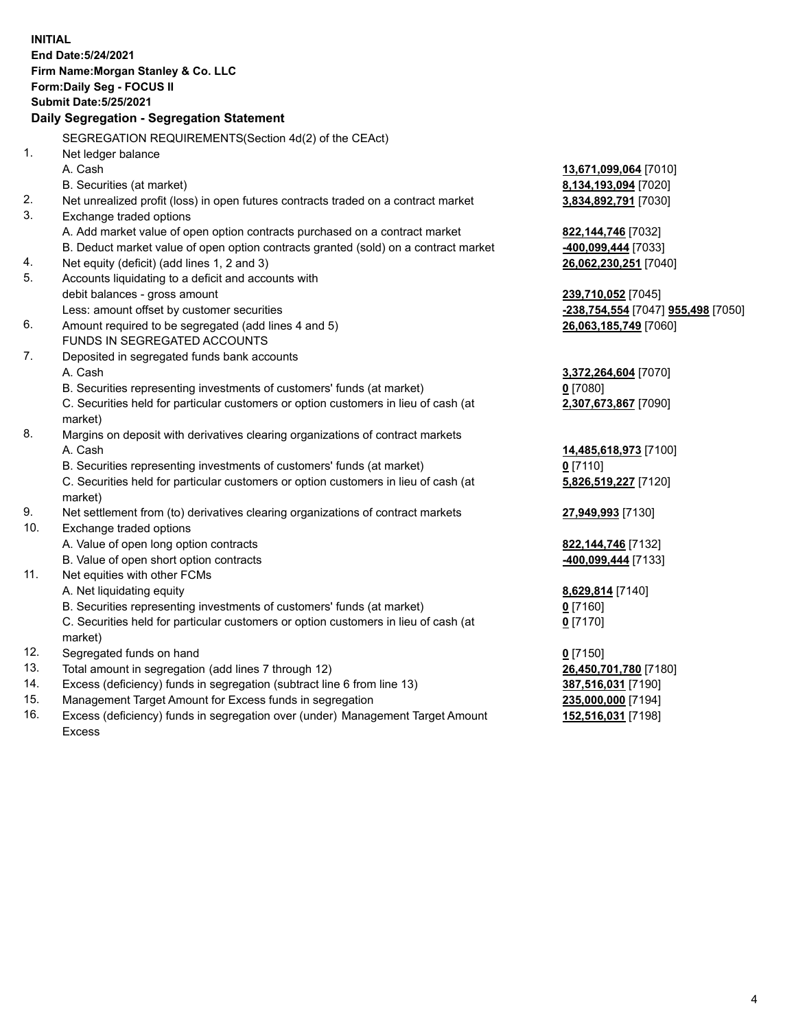**INITIAL End Date:5/24/2021 Firm Name:Morgan Stanley & Co. LLC Form:Daily Seg - FOCUS II Submit Date:5/25/2021 Daily Segregation - Segregation Statement** SEGREGATION REQUIREMENTS(Section 4d(2) of the CEAct) 1. Net ledger balance A. Cash **13,671,099,064** [7010] B. Securities (at market) **8,134,193,094** [7020] 2. Net unrealized profit (loss) in open futures contracts traded on a contract market **3,834,892,791** [7030] 3. Exchange traded options A. Add market value of open option contracts purchased on a contract market **822,144,746** [7032] B. Deduct market value of open option contracts granted (sold) on a contract market **-400,099,444** [7033] 4. Net equity (deficit) (add lines 1, 2 and 3) **26,062,230,251** [7040] 5. Accounts liquidating to a deficit and accounts with debit balances - gross amount **239,710,052** [7045] Less: amount offset by customer securities **-238,754,554** [7047] **955,498** [7050] 6. Amount required to be segregated (add lines 4 and 5) **26,063,185,749** [7060] FUNDS IN SEGREGATED ACCOUNTS 7. Deposited in segregated funds bank accounts A. Cash **3,372,264,604** [7070] B. Securities representing investments of customers' funds (at market) **0** [7080] C. Securities held for particular customers or option customers in lieu of cash (at market) **2,307,673,867** [7090] 8. Margins on deposit with derivatives clearing organizations of contract markets A. Cash **14,485,618,973** [7100] B. Securities representing investments of customers' funds (at market) **0** [7110] C. Securities held for particular customers or option customers in lieu of cash (at market) **5,826,519,227** [7120] 9. Net settlement from (to) derivatives clearing organizations of contract markets **27,949,993** [7130] 10. Exchange traded options A. Value of open long option contracts **822,144,746** [7132] B. Value of open short option contracts **-400,099,444** [7133] 11. Net equities with other FCMs A. Net liquidating equity **8,629,814** [7140] B. Securities representing investments of customers' funds (at market) **0** [7160] C. Securities held for particular customers or option customers in lieu of cash (at market) **0** [7170] 12. Segregated funds on hand **0** [7150] 13. Total amount in segregation (add lines 7 through 12) **26,450,701,780** [7180] 14. Excess (deficiency) funds in segregation (subtract line 6 from line 13) **387,516,031** [7190] 15. Management Target Amount for Excess funds in segregation **235,000,000** [7194] **152,516,031** [7198]

16. Excess (deficiency) funds in segregation over (under) Management Target Amount Excess